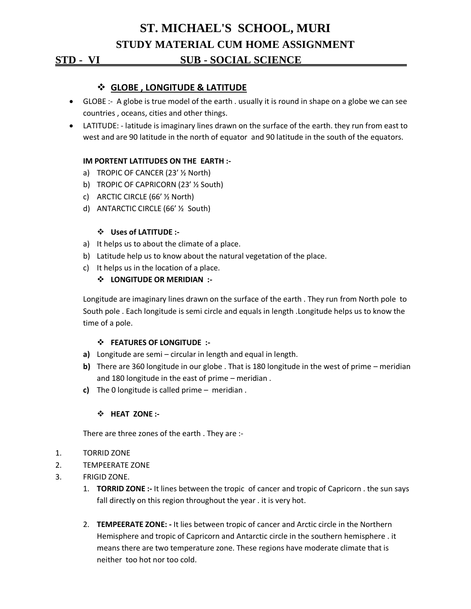# **ST. MICHAEL'S SCHOOL, MURI STUDY MATERIAL CUM HOME ASSIGNMENT STD - VI SUB - SOCIAL SCIENCE .**

# **GLOBE , LONGITUDE & LATITUDE**

- GLOBE :- A globe is true model of the earth . usually it is round in shape on a globe we can see countries , oceans, cities and other things.
- LATITUDE: latitude is imaginary lines drawn on the surface of the earth. they run from east to west and are 90 latitude in the north of equator and 90 latitude in the south of the equators.

#### **IM PORTENT LATITUDES ON THE EARTH :-**

- a) TROPIC OF CANCER (23' ½ North)
- b) TROPIC OF CAPRICORN (23' ½ South)
- c) ARCTIC CIRCLE (66' ½ North)
- d) ANTARCTIC CIRCLE (66' ½ South)

#### **Uses of LATITUDE :-**

- a) It helps us to about the climate of a place.
- b) Latitude help us to know about the natural vegetation of the place.
- c) It helps us in the location of a place.

### **LONGITUDE OR MERIDIAN :-**

Longitude are imaginary lines drawn on the surface of the earth . They run from North pole to South pole . Each longitude is semi circle and equals in length .Longitude helps us to know the time of a pole.

#### **FEATURES OF LONGITUDE :-**

- **a)** Longitude are semi circular in length and equal in length.
- **b)** There are 360 longitude in our globe . That is 180 longitude in the west of prime meridian and 180 longitude in the east of prime – meridian .
- **c)** The 0 longitude is called prime meridian .

#### **HEAT ZONE :-**

There are three zones of the earth . They are :-

- 1. TORRID ZONE
- 2. TEMPEERATE ZONE
- 3. FRIGID ZONE.
	- 1. **TORRID ZONE :-** It lines between the tropic of cancer and tropic of Capricorn . the sun says fall directly on this region throughout the year . it is very hot.
	- 2. **TEMPEERATE ZONE: -** It lies between tropic of cancer and Arctic circle in the Northern Hemisphere and tropic of Capricorn and Antarctic circle in the southern hemisphere . it means there are two temperature zone. These regions have moderate climate that is neither too hot nor too cold.